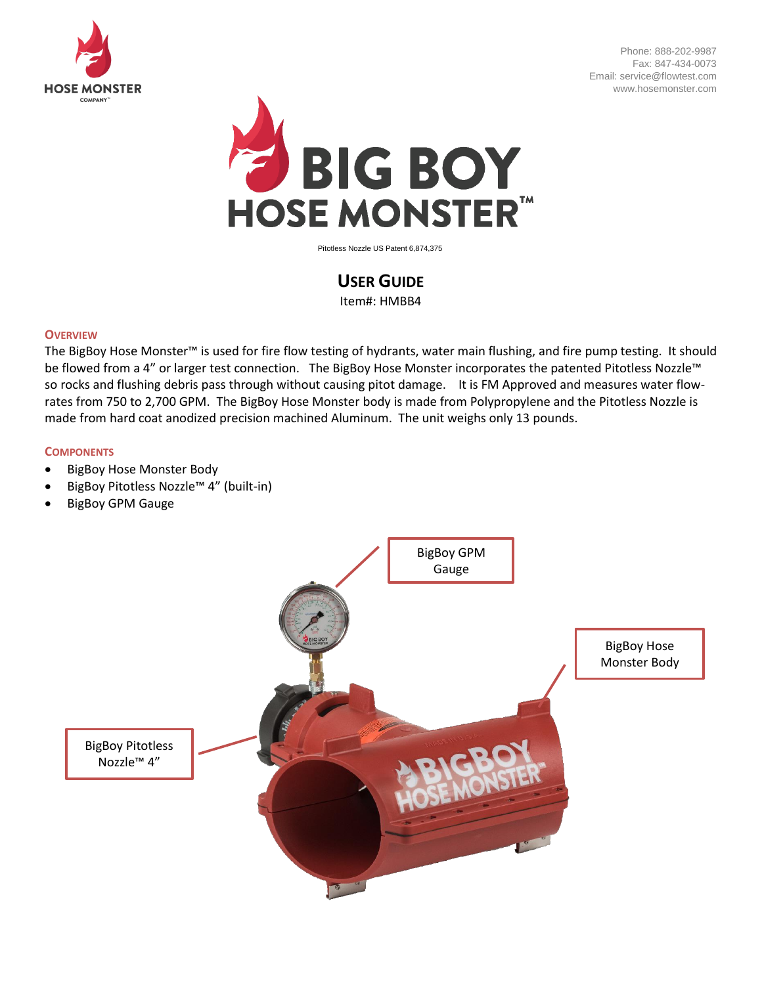

Phone: 888-202-9987 Fax: 847-434-0073 Email: service@flowtest.com www.hosemonster.com



Pitotless Nozzle US Patent 6,874,375

# **USER GUIDE**

Item#: HMBB4

## **OVERVIEW**

The BigBoy Hose Monster™ is used for fire flow testing of hydrants, water main flushing, and fire pump testing. It should be flowed from a 4" or larger test connection. The BigBoy Hose Monster incorporates the patented Pitotless Nozzle™ so rocks and flushing debris pass through without causing pitot damage. It is FM Approved and measures water flowrates from 750 to 2,700 GPM. The BigBoy Hose Monster body is made from Polypropylene and the Pitotless Nozzle is made from hard coat anodized precision machined Aluminum. The unit weighs only 13 pounds.

## **COMPONENTS**

- BigBoy Hose Monster Body
- BigBoy Pitotless Nozzle™ 4" (built-in)
- BigBoy GPM Gauge

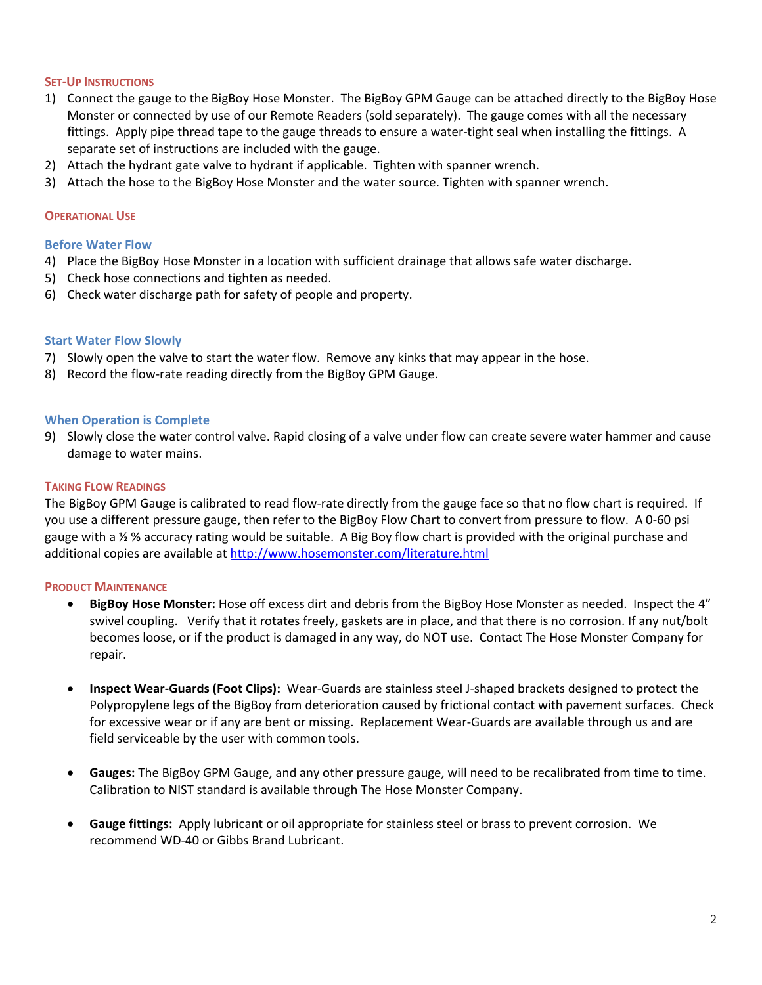## **SET-UP INSTRUCTIONS**

- 1) Connect the gauge to the BigBoy Hose Monster. The BigBoy GPM Gauge can be attached directly to the BigBoy Hose Monster or connected by use of our Remote Readers (sold separately). The gauge comes with all the necessary fittings. Apply pipe thread tape to the gauge threads to ensure a water-tight seal when installing the fittings. A separate set of instructions are included with the gauge.
- 2) Attach the hydrant gate valve to hydrant if applicable. Tighten with spanner wrench.
- 3) Attach the hose to the BigBoy Hose Monster and the water source. Tighten with spanner wrench.

### **OPERATIONAL USE**

#### **Before Water Flow**

- 4) Place the BigBoy Hose Monster in a location with sufficient drainage that allows safe water discharge.
- 5) Check hose connections and tighten as needed.
- 6) Check water discharge path for safety of people and property.

## **Start Water Flow Slowly**

- 7) Slowly open the valve to start the water flow. Remove any kinks that may appear in the hose.
- 8) Record the flow-rate reading directly from the BigBoy GPM Gauge.

## **When Operation is Complete**

9) Slowly close the water control valve. Rapid closing of a valve under flow can create severe water hammer and cause damage to water mains.

## **TAKING FLOW READINGS**

The BigBoy GPM Gauge is calibrated to read flow-rate directly from the gauge face so that no flow chart is required. If you use a different pressure gauge, then refer to the BigBoy Flow Chart to convert from pressure to flow. A 0-60 psi gauge with a ½ % accuracy rating would be suitable. A Big Boy flow chart is provided with the original purchase and additional copies are available at<http://www.hosemonster.com/literature.html>

#### **PRODUCT MAINTENANCE**

- **BigBoy Hose Monster:** Hose off excess dirt and debris from the BigBoy Hose Monster as needed. Inspect the 4" swivel coupling. Verify that it rotates freely, gaskets are in place, and that there is no corrosion. If any nut/bolt becomes loose, or if the product is damaged in any way, do NOT use. Contact The Hose Monster Company for repair.
- **Inspect Wear-Guards (Foot Clips):** Wear-Guards are stainless steel J-shaped brackets designed to protect the Polypropylene legs of the BigBoy from deterioration caused by frictional contact with pavement surfaces. Check for excessive wear or if any are bent or missing. Replacement Wear-Guards are available through us and are field serviceable by the user with common tools.
- **Gauges:** The BigBoy GPM Gauge, and any other pressure gauge, will need to be recalibrated from time to time. Calibration to NIST standard is available through The Hose Monster Company.
- **Gauge fittings:** Apply lubricant or oil appropriate for stainless steel or brass to prevent corrosion. We recommend WD-40 or Gibbs Brand Lubricant.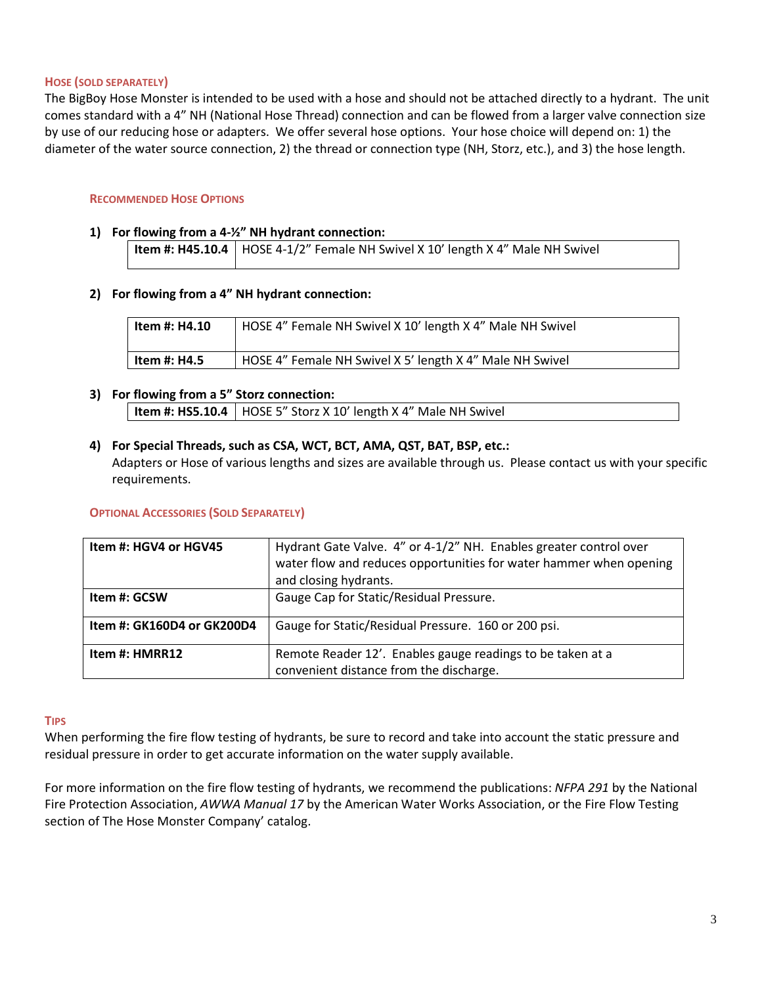## **HOSE (SOLD SEPARATELY)**

The BigBoy Hose Monster is intended to be used with a hose and should not be attached directly to a hydrant. The unit comes standard with a 4" NH (National Hose Thread) connection and can be flowed from a larger valve connection size by use of our reducing hose or adapters. We offer several hose options. Your hose choice will depend on: 1) the diameter of the water source connection, 2) the thread or connection type (NH, Storz, etc.), and 3) the hose length.

### **RECOMMENDED HOSE OPTIONS**

### **1) For flowing from a 4-½" NH hydrant connection:**

**Item #: H45.10.4** | HOSE 4-1/2" Female NH Swivel X 10' length X 4" Male NH Swivel

## **2) For flowing from a 4" NH hydrant connection:**

| ltem #: H4.10 | HOSE 4" Female NH Swivel X 10' length X 4" Male NH Swivel |
|---------------|-----------------------------------------------------------|
| Item #: H4.5  | HOSE 4" Female NH Swivel X 5' length X 4" Male NH Swivel  |

## **3) For flowing from a 5" Storz connection:**

| <b>Item #: HS5.10.4</b>   HOSE 5" Storz X 10' length X 4" Male NH Swivel |
|--------------------------------------------------------------------------|
|--------------------------------------------------------------------------|

## **4) For Special Threads, such as CSA, WCT, BCT, AMA, QST, BAT, BSP, etc.:**

Adapters or Hose of various lengths and sizes are available through us. Please contact us with your specific requirements.

#### **OPTIONAL ACCESSORIES (SOLD SEPARATELY)**

| Item #: HGV4 or HGV45      | Hydrant Gate Valve. 4" or 4-1/2" NH. Enables greater control over<br>water flow and reduces opportunities for water hammer when opening<br>and closing hydrants. |
|----------------------------|------------------------------------------------------------------------------------------------------------------------------------------------------------------|
| Item #: GCSW               | Gauge Cap for Static/Residual Pressure.                                                                                                                          |
| Item #: GK160D4 or GK200D4 | Gauge for Static/Residual Pressure. 160 or 200 psi.                                                                                                              |
| Item #: HMRR12             | Remote Reader 12'. Enables gauge readings to be taken at a<br>convenient distance from the discharge.                                                            |

#### **TIPS**

When performing the fire flow testing of hydrants, be sure to record and take into account the static pressure and residual pressure in order to get accurate information on the water supply available.

For more information on the fire flow testing of hydrants, we recommend the publications: *NFPA 291* by the National Fire Protection Association, *AWWA Manual 17* by the American Water Works Association, or the Fire Flow Testing section of The Hose Monster Company' catalog.